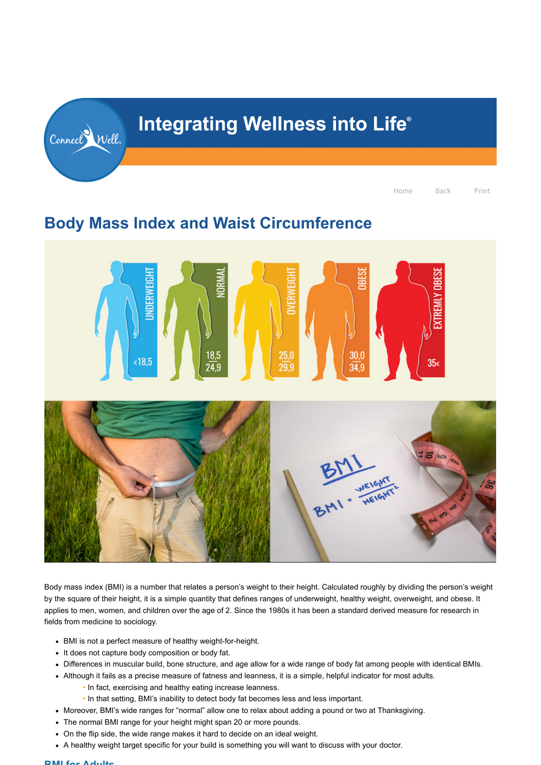# **Body Mass Index and Waist Circumference**



Body mass index (BMI) is a number that relates a person's weight to their height. Calculated roughly by dividing the person's weight by the square of their height, it is a simple quantity that defines ranges of underweight, healthy weight, overweight, and obese. It applies to men, women, and children over the age of 2. Since the 1980s it has been a standard derived measure for research in fields from medicine to sociology.

- BMI is not a perfect measure of healthy weight-for-height.
- It does not capture body composition or body fat.
- Differences in muscular build, bone structure, and age allow for a wide range of body fat among people with identical BMIs.
- Although it fails as a precise measure of fatness and leanness, it is a simple, helpful indicator for most adults.
	- In fact, exercising and healthy eating increase leanness.
	- In that setting, BMI's inability to detect body fat becomes less and less important.
- Moreover, BMI's wide ranges for "normal" allow one to relax about adding a pound or two at Thanksgiving.
- The normal BMI range for your height might span 20 or more pounds.
- On the flip side, the wide range makes it hard to decide on an ideal weight.
- A healthy weight target specific for your build is something you will want to discuss with your doctor.

#### **BMI for Adults**

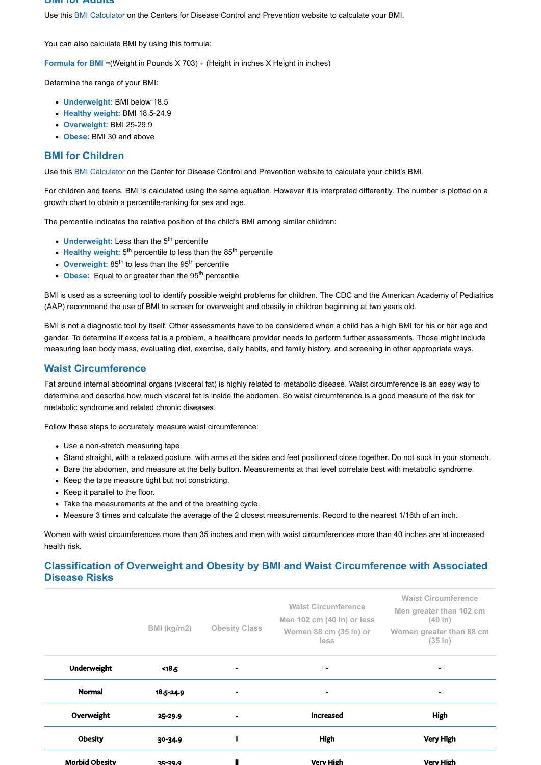#### **BMI for Adults**

Use this [BMI Calculator](https://www.cdc.gov/healthyweight/assessing/bmi/adult_bmi/english_bmi_calculator/bmi_calculator.html) on the Centers for Disease Control and Prevention website to calculate your BMI.

You can also calculate BMI by using this formula:

**Formula for BMI** = (Weight in Pounds X 703) ÷ (Height in inches X Height in inches)

Determine the range of your BMI:

- **Underweight:** BMI below 18.5
- **Healthy weight:** BMI 18.5-24.9
- **Overweight:** BMI 25-29.9
- **Obese:** BMI 30 and above

## **BMI for Children**

Use this [BMI Calculator](https://www.cdc.gov/healthyweight/bmi/calculator.html) on the Center for Disease Control and Prevention website to calculate your child's BMI.

For children and teens, BMI is calculated using the same equation. However it is interpreted differently. The number is plotted on a growth chart to obtain a percentile-ranking for sex and age.

The percentile indicates the relative position of the child's BMI among similar children:

- Underweight: Less than the 5<sup>th</sup> percentile
- Healthy weight: 5<sup>th</sup> percentile to less than the 85<sup>th</sup> percentile
- Overweight: 85<sup>th</sup> to less than the 95<sup>th</sup> percentile
- Obese: Equal to or greater than the 95<sup>th</sup> percentile

BMI is used as a screening tool to identify possible weight problems for children. The CDC and the American Academy of Pediatrics (AAP) recommend the use of BMI to screen for overweight and obesity in children beginning at two years old.

BMI is not a diagnostic tool by itself. Other assessments have to be considered when a child has a high BMI for his or her age and gender. To determine if excess fat is a problem, a healthcare provider needs to perform further assessments. Those might include measuring lean body mass, evaluating diet, exercise, daily habits, and family history, and screening in other appropriate ways.

## **Waist Circumference**

Fat around internal abdominal organs (visceral fat) is highly related to metabolic disease. Waist circumference is an easy way to determine and describe how much visceral fat is inside the abdomen. So waist circumference is a good measure of the risk for metabolic syndrome and related chronic diseases.

Follow these steps to accurately measure waist circumference:

- Use a non-stretch measuring tape.
- Stand straight, with a relaxed posture, with arms at the sides and feet positioned close together. Do not suck in your stomach.
- Bare the abdomen, and measure at the belly button. Measurements at that level correlate best with metabolic syndrome.
- Keep the tape measure tight but not constricting.
- Keep it parallel to the floor.
- Take the measurements at the end of the breathing cycle.
- Measure 3 times and calculate the average of the 2 closest measurements. Record to the nearest 1/16th of an inch.

Women with waist circumferences more than 35 inches and men with waist circumferences more than 40 inches are at increased health risk.

## **Classification of Overweight and Obesity by BMI and Waist Circumference with Associated Disease Risks**

|                       |                |                      |                                                          | <b>Waist Circumference</b>          |
|-----------------------|----------------|----------------------|----------------------------------------------------------|-------------------------------------|
|                       |                |                      | <b>Waist Circumference</b><br>Men 102 cm (40 in) or less | Men greater than 102 cm<br>(40 in)  |
|                       | BMI (kg/m2)    | <b>Obesity Class</b> | Women 88 cm (35 in) or<br><b>less</b>                    | Women greater than 88 cm<br>(35 in) |
| <b>Underweight</b>    | $18.5$         | $\blacksquare$       | $\blacksquare$                                           | $\blacksquare$                      |
| <b>Normal</b>         | 18.5-24.9      |                      |                                                          | $\blacksquare$                      |
| Overweight            | 25-29.9        | $\blacksquare$       | <b>Increased</b>                                         | <b>High</b>                         |
| <b>Obesity</b>        | 30-34.9        |                      | <b>High</b>                                              | <b>Very High</b>                    |
| <b>Morbid Obesity</b> | <u>25-29.9</u> |                      | <b>Very High</b>                                         | <b>Very High</b>                    |